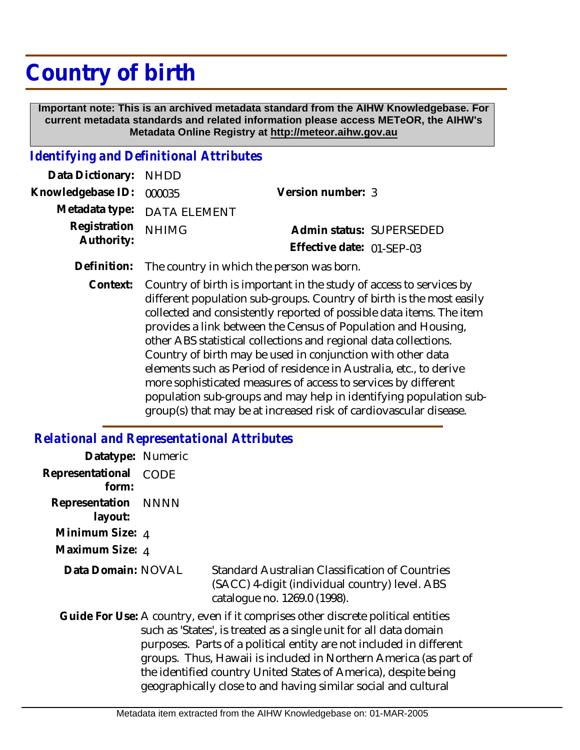# **Country of birth**

 **Important note: This is an archived metadata standard from the AIHW Knowledgebase. For current metadata standards and related information please access METeOR, the AIHW's Metadata Online Registry at http://meteor.aihw.gov.au**

### *Identifying and Definitional Attributes*

| Data Dictionary: NHDD    |                             |                           |  |
|--------------------------|-----------------------------|---------------------------|--|
| Knowledgebase ID: 000035 |                             | Version number: 3         |  |
|                          | Metadata type: DATA ELEMENT |                           |  |
| Registration NHIMG       |                             | Admin status: SUPERSEDED  |  |
| Authority:               |                             | Effective date: 01-SEP-03 |  |
|                          |                             |                           |  |

- **Definition:** The country in which the person was born.
	- Country of birth is important in the study of access to services by different population sub-groups. Country of birth is the most easily collected and consistently reported of possible data items. The item provides a link between the Census of Population and Housing, other ABS statistical collections and regional data collections. Country of birth may be used in conjunction with other data elements such as Period of residence in Australia, etc., to derive more sophisticated measures of access to services by different population sub-groups and may help in identifying population subgroup(s) that may be at increased risk of cardiovascular disease. **Context:**

# *Relational and Representational Attributes*

| Datatype: Numeric         |             |                                                                                                                                                                                                                                                                                                                                                                                                                                       |
|---------------------------|-------------|---------------------------------------------------------------------------------------------------------------------------------------------------------------------------------------------------------------------------------------------------------------------------------------------------------------------------------------------------------------------------------------------------------------------------------------|
| Representational<br>form: | <b>CODE</b> |                                                                                                                                                                                                                                                                                                                                                                                                                                       |
| Representation<br>layout: | NNNN        |                                                                                                                                                                                                                                                                                                                                                                                                                                       |
| Minimum Size: 4           |             |                                                                                                                                                                                                                                                                                                                                                                                                                                       |
| Maximum Size: 4           |             |                                                                                                                                                                                                                                                                                                                                                                                                                                       |
| Data Domain: NOVAL        |             | <b>Standard Australian Classification of Countries</b><br>(SACC) 4-digit (individual country) level. ABS<br>catalogue no. 1269.0 (1998).                                                                                                                                                                                                                                                                                              |
|                           |             | Guide For Use: A country, even if it comprises other discrete political entities<br>such as 'States', is treated as a single unit for all data domain<br>purposes. Parts of a political entity are not included in different<br>groups. Thus, Hawaii is included in Northern America (as part of<br>the identified country United States of America), despite being<br>geographically close to and having similar social and cultural |